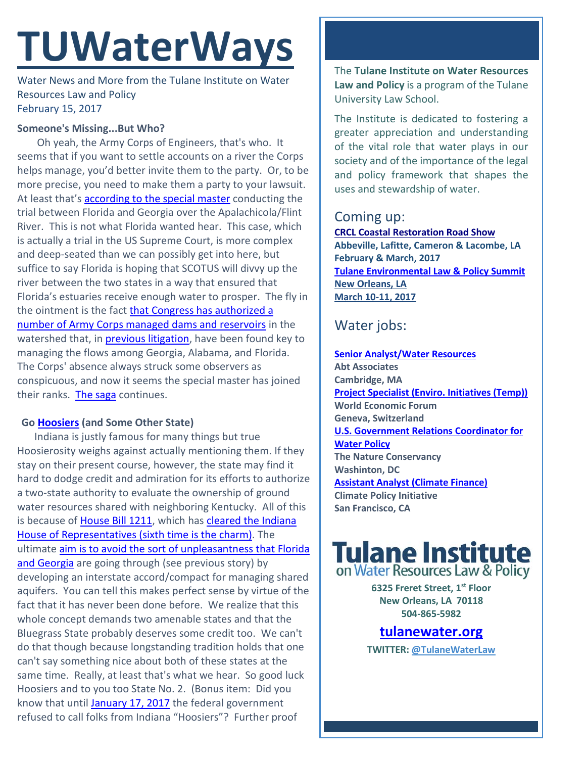# **TUWaterWays**

Water News and More from the Tulane Institute on Water Resources Law and Policy February 15, 2017

### **Someone's Missing...But Who?**

Oh yeah, the Army Corps of Engineers, that's who. It seems that if you want to settle accounts on a river the Corps helps manage, you'd better invite them to the party. Or, to be more precise, you need to make them a party to your lawsuit. At least that's [according to the special master](http://www.miamiherald.com/news/local/environment/article132784134.html) conducting the trial between Florida and Georgia over the Apalachicola/Flint River. This is not what Florida wanted hear. This case, which is actually a trial in the US Supreme Court, is more complex and deep-seated than we can possibly get into here, but suffice to say Florida is hoping that SCOTUS will divvy up the river between the two states in a way that ensured that Florida's estuaries receive enough water to prosper. The fly in the ointment is the fact [that Congress has authorized a](https://www.justice.gov/enrd/apalachicola-chattahoochee-flint)  [number of Army Corps managed dams and reservoirs](https://www.justice.gov/enrd/apalachicola-chattahoochee-flint) in the watershed that, in [previous litigation,](http://www.atlantaregional.com/environment/tri-state-water-wars/background) have been found key to managing the flows among Georgia, Alabama, and Florida. The Corps' absence always struck some observers as conspicuous, and now it seems the special master has joined their ranks. [The saga](https://www.youtube.com/watch?v=hEcjgJSqSRU) continues.

## **Go [Hoosiers](http://www.law.tulane.edu/tlsfaculty/profiles.aspx?id=2284) (and Some Other State)**

Indiana is justly famous for many things but true Hoosierosity weighs against actually mentioning them. If they stay on their present course, however, the state may find it hard to dodge credit and admiration for its efforts to authorize a two-state authority to evaluate the ownership of ground water resources shared with neighboring Kentucky. All of this is because of [House Bill 1211,](https://iga.in.gov/legislative/2017/bills/house/1211) which has cleared the Indiana [House of Representatives \(sixth time is the charm\).](http://www.newsandtribune.com/news/ohio-river-aquifer-authority-state-bill-advances/article_83cc76d2-eef3-11e6-bc48-6fbe342a0eaf.html) The ultimate [aim is to avoid the sort of unpleasantness that Florida](http://www.newsandtribune.com/news/ohio-river-aquifer-authority-state-bill-advances/article_83cc76d2-eef3-11e6-bc48-6fbe342a0eaf.html)  [and Georgia](http://www.newsandtribune.com/news/ohio-river-aquifer-authority-state-bill-advances/article_83cc76d2-eef3-11e6-bc48-6fbe342a0eaf.html) are going through (see previous story) by developing an interstate accord/compact for managing shared aquifers. You can tell this makes perfect sense by virtue of the fact that it has never been done before. We realize that this whole concept demands two amenable states and that the Bluegrass State probably deserves some credit too. We can't do that though because longstanding tradition holds that one can't say something nice about both of these states at the same time. Really, at least that's what we hear. So good luck Hoosiers and to you too State No. 2. (Bonus item: Did you know that until [January 17, 2017](http://www.chicagotribune.com/news/nationworld/midwest/ct-indiana-officially-hoosiers-20170112-story.html) the federal government refused to call folks from Indiana "Hoosiers"? Further proof

The **Tulane Institute on Water Resources Law and Policy** is a program of the Tulane University Law School.

The Institute is dedicated to fostering a greater appreciation and understanding of the vital role that water plays in our society and of the importance of the legal and policy framework that shapes the uses and stewardship of water.

# Coming up:

**[CRCL Coastal Restoration Road Show](http://www.crcl.org/programs/outreach-and-engagement/coastal-restoration-road-show.html) Abbeville, Lafitte, Cameron & Lacombe, LA February & March, 2017 [Tulane Environmental Law & Policy Summit](https://tulaneenvironmentallawsummit.com/) New Orleans, LA March 10-11, 2017** 

# Water jobs:

**[Senior Analyst/Water Resources](https://career4.successfactors.com/career?career_ns=job_listing&company=AbtPROD&navBarLevel=JOB_SEARCH&rcm_site_locale=en_US&career_job_req_id=41481&selected_lang=en_US&jobAlertController_jobAlertId=&jobAlertController_jobAlertName=&_s.crb=1QSYD9IZyGxNINYgF83LkGL0FPc%3D) Abt Associates Cambridge, MA [Project Specialist \(Enviro. Initiatives \(Temp\)\)](http://www.joshswaterjobs.com/jobs/3097) World Economic Forum Geneva, Switzerland [U.S. Government Relations Coordinator for](http://www.joshswaterjobs.com/jobs/3211)  [Water Policy](http://www.joshswaterjobs.com/jobs/3211) The Nature Conservancy Washinton, DC Assistant Analyst [\(Climate Finance\)](http://www.joshswaterjobs.com/jobs/3160) Climate Policy Initiative San Francisco, CA**



**6325 Freret Street, 1st Floor New Orleans, LA 70118 504-865-5982** 

**tulanewater.org**

**TWITTER: [@TulaneWaterLaw](http://www.twitter.com/TulaneWaterLaw)**